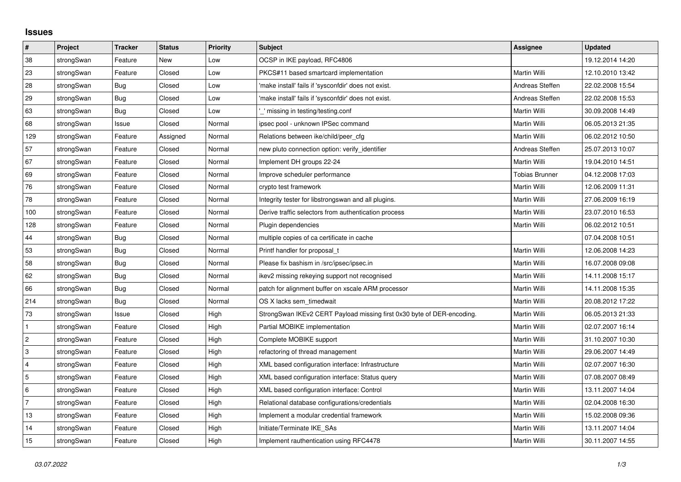## **Issues**

| $\pmb{\#}$     | Project    | <b>Tracker</b> | <b>Status</b> | Priority | <b>Subject</b>                                                         | <b>Assignee</b>       | <b>Updated</b>   |
|----------------|------------|----------------|---------------|----------|------------------------------------------------------------------------|-----------------------|------------------|
| 38             | strongSwan | Feature        | <b>New</b>    | Low      | OCSP in IKE payload, RFC4806                                           |                       | 19.12.2014 14:20 |
| 23             | strongSwan | Feature        | Closed        | Low      | PKCS#11 based smartcard implementation                                 | Martin Willi          | 12.10.2010 13:42 |
| 28             | strongSwan | Bug            | Closed        | Low      | 'make install' fails if 'sysconfdir' does not exist.                   | Andreas Steffen       | 22.02.2008 15:54 |
| 29             | strongSwan | Bug            | Closed        | Low      | 'make install' fails if 'sysconfdir' does not exist.                   | Andreas Steffen       | 22.02.2008 15:53 |
| 63             | strongSwan | Bug            | Closed        | Low      | " missing in testing/testing.conf                                      | Martin Willi          | 30.09.2008 14:49 |
| 68             | strongSwan | Issue          | Closed        | Normal   | ipsec pool - unknown IPSec command                                     | Martin Willi          | 06.05.2013 21:35 |
| 129            | strongSwan | Feature        | Assigned      | Normal   | Relations between ike/child/peer cfg                                   | Martin Willi          | 06.02.2012 10:50 |
| 57             | strongSwan | Feature        | Closed        | Normal   | new pluto connection option: verify_identifier                         | Andreas Steffen       | 25.07.2013 10:07 |
| 67             | strongSwan | Feature        | Closed        | Normal   | Implement DH groups 22-24                                              | Martin Willi          | 19.04.2010 14:51 |
| 69             | strongSwan | Feature        | Closed        | Normal   | Improve scheduler performance                                          | <b>Tobias Brunner</b> | 04.12.2008 17:03 |
| 76             | strongSwan | Feature        | Closed        | Normal   | crypto test framework                                                  | Martin Willi          | 12.06.2009 11:31 |
| 78             | strongSwan | Feature        | Closed        | Normal   | Integrity tester for libstrongswan and all plugins.                    | Martin Willi          | 27.06.2009 16:19 |
| 100            | strongSwan | Feature        | Closed        | Normal   | Derive traffic selectors from authentication process                   | Martin Willi          | 23.07.2010 16:53 |
| 128            | strongSwan | Feature        | Closed        | Normal   | Plugin dependencies                                                    | Martin Willi          | 06.02.2012 10:51 |
| 44             | strongSwan | Bug            | Closed        | Normal   | multiple copies of ca certificate in cache                             |                       | 07.04.2008 10:51 |
| 53             | strongSwan | Bug            | Closed        | Normal   | Printf handler for proposal t                                          | Martin Willi          | 12.06.2008 14:23 |
| 58             | strongSwan | Bug            | Closed        | Normal   | Please fix bashism in /src/ipsec/ipsec.in                              | Martin Willi          | 16.07.2008 09:08 |
| 62             | strongSwan | Bug            | Closed        | Normal   | ikev2 missing rekeying support not recognised                          | Martin Willi          | 14.11.2008 15:17 |
| 66             | strongSwan | Bug            | Closed        | Normal   | patch for alignment buffer on xscale ARM processor                     | Martin Willi          | 14.11.2008 15:35 |
| 214            | strongSwan | Bug            | Closed        | Normal   | OS X lacks sem timedwait                                               | Martin Willi          | 20.08.2012 17:22 |
| $73\,$         | strongSwan | Issue          | Closed        | High     | StrongSwan IKEv2 CERT Payload missing first 0x30 byte of DER-encoding. | Martin Willi          | 06.05.2013 21:33 |
| $\mathbf{1}$   | strongSwan | Feature        | Closed        | High     | Partial MOBIKE implementation                                          | Martin Willi          | 02.07.2007 16:14 |
| $\overline{c}$ | strongSwan | Feature        | Closed        | High     | Complete MOBIKE support                                                | Martin Willi          | 31.10.2007 10:30 |
| 3              | strongSwan | Feature        | Closed        | High     | refactoring of thread management                                       | Martin Willi          | 29.06.2007 14:49 |
| 4              | strongSwan | Feature        | Closed        | High     | XML based configuration interface: Infrastructure                      | Martin Willi          | 02.07.2007 16:30 |
| 5              | strongSwan | Feature        | Closed        | High     | XML based configuration interface: Status query                        | Martin Willi          | 07.08.2007 08:49 |
| 6              | strongSwan | Feature        | Closed        | High     | XML based configuration interface: Control                             | Martin Willi          | 13.11.2007 14:04 |
| 7              | strongSwan | Feature        | Closed        | High     | Relational database configurations/credentials                         | Martin Willi          | 02.04.2008 16:30 |
| 13             | strongSwan | Feature        | Closed        | High     | Implement a modular credential framework                               | Martin Willi          | 15.02.2008 09:36 |
| 14             | strongSwan | Feature        | Closed        | High     | Initiate/Terminate IKE SAs                                             | Martin Willi          | 13.11.2007 14:04 |
| 15             | strongSwan | Feature        | Closed        | High     | Implement rauthentication using RFC4478                                | Martin Willi          | 30.11.2007 14:55 |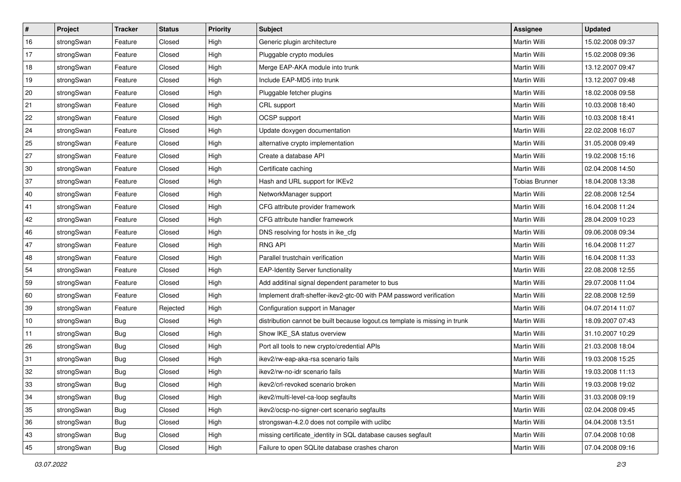| $\vert$ # | Project    | <b>Tracker</b> | <b>Status</b> | <b>Priority</b> | <b>Subject</b>                                                              | <b>Assignee</b>       | <b>Updated</b>   |
|-----------|------------|----------------|---------------|-----------------|-----------------------------------------------------------------------------|-----------------------|------------------|
| 16        | strongSwan | Feature        | Closed        | High            | Generic plugin architecture                                                 | Martin Willi          | 15.02.2008 09:37 |
| 17        | strongSwan | Feature        | Closed        | High            | Pluggable crypto modules                                                    | <b>Martin Willi</b>   | 15.02.2008 09:36 |
| 18        | strongSwan | Feature        | Closed        | High            | Merge EAP-AKA module into trunk                                             | Martin Willi          | 13.12.2007 09:47 |
| 19        | strongSwan | Feature        | Closed        | High            | Include EAP-MD5 into trunk                                                  | Martin Willi          | 13.12.2007 09:48 |
| 20        | strongSwan | Feature        | Closed        | High            | Pluggable fetcher plugins                                                   | Martin Willi          | 18.02.2008 09:58 |
| 21        | strongSwan | Feature        | Closed        | High            | CRL support                                                                 | Martin Willi          | 10.03.2008 18:40 |
| 22        | strongSwan | Feature        | Closed        | High            | <b>OCSP</b> support                                                         | Martin Willi          | 10.03.2008 18:41 |
| 24        | strongSwan | Feature        | Closed        | High            | Update doxygen documentation                                                | Martin Willi          | 22.02.2008 16:07 |
| 25        | strongSwan | Feature        | Closed        | High            | alternative crypto implementation                                           | Martin Willi          | 31.05.2008 09:49 |
| 27        | strongSwan | Feature        | Closed        | High            | Create a database API                                                       | Martin Willi          | 19.02.2008 15:16 |
| 30        | strongSwan | Feature        | Closed        | High            | Certificate caching                                                         | Martin Willi          | 02.04.2008 14:50 |
| 37        | strongSwan | Feature        | Closed        | High            | Hash and URL support for IKEv2                                              | <b>Tobias Brunner</b> | 18.04.2008 13:38 |
| 40        | strongSwan | Feature        | Closed        | High            | NetworkManager support                                                      | Martin Willi          | 22.08.2008 12:54 |
| 41        | strongSwan | Feature        | Closed        | High            | CFG attribute provider framework                                            | Martin Willi          | 16.04.2008 11:24 |
| 42        | strongSwan | Feature        | Closed        | High            | CFG attribute handler framework                                             | <b>Martin Willi</b>   | 28.04.2009 10:23 |
| 46        | strongSwan | Feature        | Closed        | High            | DNS resolving for hosts in ike_cfg                                          | Martin Willi          | 09.06.2008 09:34 |
| 47        | strongSwan | Feature        | Closed        | High            | <b>RNG API</b>                                                              | <b>Martin Willi</b>   | 16.04.2008 11:27 |
| 48        | strongSwan | Feature        | Closed        | High            | Parallel trustchain verification                                            | Martin Willi          | 16.04.2008 11:33 |
| 54        | strongSwan | Feature        | Closed        | High            | <b>EAP-Identity Server functionality</b>                                    | Martin Willi          | 22.08.2008 12:55 |
| 59        | strongSwan | Feature        | Closed        | High            | Add additinal signal dependent parameter to bus                             | Martin Willi          | 29.07.2008 11:04 |
| 60        | strongSwan | Feature        | Closed        | High            | Implement draft-sheffer-ikev2-gtc-00 with PAM password verification         | Martin Willi          | 22.08.2008 12:59 |
| 39        | strongSwan | Feature        | Rejected      | High            | Configuration support in Manager                                            | Martin Willi          | 04.07.2014 11:07 |
| 10        | strongSwan | Bug            | Closed        | High            | distribution cannot be built because logout.cs template is missing in trunk | Martin Willi          | 18.09.2007 07:43 |
| 11        | strongSwan | Bug            | Closed        | High            | Show IKE_SA status overview                                                 | Martin Willi          | 31.10.2007 10:29 |
| 26        | strongSwan | <b>Bug</b>     | Closed        | High            | Port all tools to new crypto/credential APIs                                | Martin Willi          | 21.03.2008 18:04 |
| 31        | strongSwan | Bug            | Closed        | High            | ikev2/rw-eap-aka-rsa scenario fails                                         | Martin Willi          | 19.03.2008 15:25 |
| 32        | strongSwan | Bug            | Closed        | High            | ikev2/rw-no-idr scenario fails                                              | Martin Willi          | 19.03.2008 11:13 |
| 33        | strongSwan | Bug            | Closed        | High            | ikev2/crl-revoked scenario broken                                           | Martin Willi          | 19.03.2008 19:02 |
| 34        | strongSwan | Bug            | Closed        | High            | ikev2/multi-level-ca-loop segfaults                                         | Martin Willi          | 31.03.2008 09:19 |
| 35        | strongSwan | Bug            | Closed        | High            | ikev2/ocsp-no-signer-cert scenario segfaults                                | Martin Willi          | 02.04.2008 09:45 |
| 36        | strongSwan | Bug            | Closed        | High            | strongswan-4.2.0 does not compile with uclibc                               | Martin Willi          | 04.04.2008 13:51 |
| 43        | strongSwan | Bug            | Closed        | High            | missing certificate_identity in SQL database causes segfault                | Martin Willi          | 07.04.2008 10:08 |
| 45        | strongSwan | <b>Bug</b>     | Closed        | High            | Failure to open SQLite database crashes charon                              | Martin Willi          | 07.04.2008 09:16 |